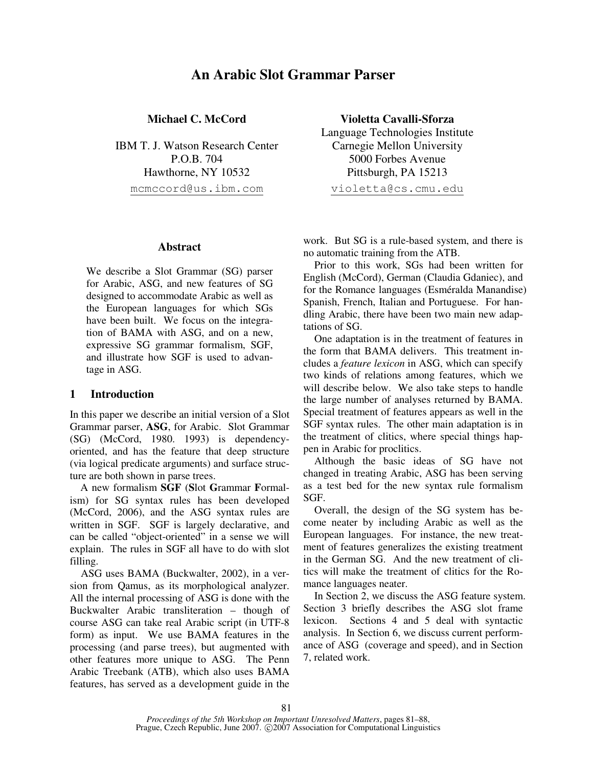# **An Arabic Slot Grammar Parser**

**Michael C. McCord**

IBM T. J. Watson Research Center P.O.B. 704 Hawthorne, NY 10532 mcmccord@us.ibm.com

#### **Abstract**

We describe a Slot Grammar (SG) parser for Arabic, ASG, and new features of SG designed to accommodate Arabic as well as the European languages for which SGs have been built. We focus on the integration of BAMA with ASG, and on a new, expressive SG grammar formalism, SGF, and illustrate how SGF is used to advantage in ASG.

## **1 Introduction**

In this paper we describe an initial version of a Slot Grammar parser, **ASG**, for Arabic. Slot Grammar (SG) (McCord, 1980. 1993) is dependencyoriented, and has the feature that deep structure (via logical predicate arguments) and surface structure are both shown in parse trees.

A new formalism **SGF** (**S**lot **G**rammar **F**ormalism) for SG syntax rules has been developed (McCord, 2006), and the ASG syntax rules are written in SGF. SGF is largely declarative, and can be called "object-oriented" in a sense we will explain. The rules in SGF all have to do with slot filling.

ASG uses BAMA (Buckwalter, 2002), in a version from Qamus, as its morphological analyzer. All the internal processing of ASG is done with the Buckwalter Arabic transliteration – though of course ASG can take real Arabic script (in UTF-8 form) as input. We use BAMA features in the processing (and parse trees), but augmented with other features more unique to ASG. The Penn Arabic Treebank (ATB), which also uses BAMA features, has served as a development guide in the

**Violetta Cavalli-Sforza** Language Technologies Institute Carnegie Mellon University 5000 Forbes Avenue Pittsburgh, PA 15213

violetta@cs.cmu.edu

work. But SG is a rule-based system, and there is no automatic training from the ATB.

Prior to this work, SGs had been written for English (McCord), German (Claudia Gdaniec), and for the Romance languages (Esméralda Manandise) Spanish, French, Italian and Portuguese. For handling Arabic, there have been two main new adaptations of SG.

One adaptation is in the treatment of features in the form that BAMA delivers. This treatment includes a *feature lexicon* in ASG, which can specify two kinds of relations among features, which we will describe below. We also take steps to handle the large number of analyses returned by BAMA. Special treatment of features appears as well in the SGF syntax rules. The other main adaptation is in the treatment of clitics, where special things happen in Arabic for proclitics.

Although the basic ideas of SG have not changed in treating Arabic, ASG has been serving as a test bed for the new syntax rule formalism SGF.

Overall, the design of the SG system has become neater by including Arabic as well as the European languages. For instance, the new treatment of features generalizes the existing treatment in the German SG. And the new treatment of clitics will make the treatment of clitics for the Romance languages neater.

In Section 2, we discuss the ASG feature system. Section 3 briefly describes the ASG slot frame lexicon. Sections 4 and 5 deal with syntactic analysis. In Section 6, we discuss current performance of ASG (coverage and speed), and in Section 7, related work.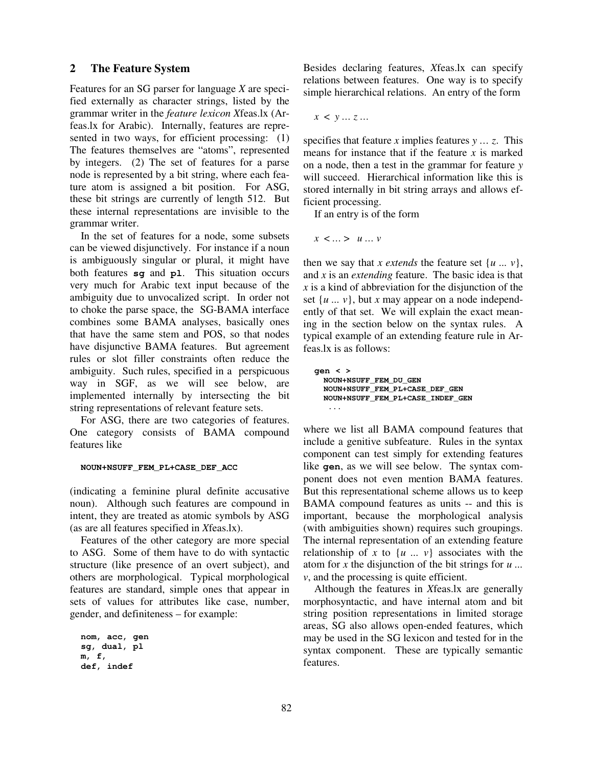#### **2 The Feature System**

Features for an SG parser for language *X* are specified externally as character strings, listed by the grammar writer in the *feature lexicon X*feas.lx (Arfeas.lx for Arabic). Internally, features are represented in two ways, for efficient processing: (1) The features themselves are "atoms", represented by integers. (2) The set of features for a parse node is represented by a bit string, where each feature atom is assigned a bit position. For ASG, these bit strings are currently of length 512. But these internal representations are invisible to the grammar writer.

In the set of features for a node, some subsets can be viewed disjunctively. For instance if a noun is ambiguously singular or plural, it might have both features **sg** and **pl**. This situation occurs very much for Arabic text input because of the ambiguity due to unvocalized script. In order not to choke the parse space, the SG-BAMA interface combines some BAMA analyses, basically ones that have the same stem and POS, so that nodes have disjunctive BAMA features. But agreement rules or slot filler constraints often reduce the ambiguity. Such rules, specified in a perspicuous way in SGF, as we will see below, are implemented internally by intersecting the bit string representations of relevant feature sets.

For ASG, there are two categories of features. One category consists of BAMA compound features like

#### **NOUN+NSUFF\_FEM\_PL+CASE\_DEF\_ACC**

(indicating a feminine plural definite accusative noun). Although such features are compound in intent, they are treated as atomic symbols by ASG (as are all features specified in *X*feas.lx).

Features of the other category are more special to ASG. Some of them have to do with syntactic structure (like presence of an overt subject), and others are morphological. Typical morphological features are standard, simple ones that appear in sets of values for attributes like case, number, gender, and definiteness – for example:

```
nom, acc, gen
sg, dual, pl
m, f,
def, indef
```
Besides declaring features, *X*feas.lx can specify relations between features. One way is to specify simple hierarchical relations. An entry of the form

*x* < *y … z …*

specifies that feature *x* implies features *y … z*. This means for instance that if the feature *x* is marked on a node, then a test in the grammar for feature *y* will succeed. Hierarchical information like this is stored internally in bit string arrays and allows efficient processing.

If an entry is of the form

*x* < *…* > *u … v*

then we say that *x extends* the feature set  $\{u \dots v\}$ , and *x* is an *extending* feature. The basic idea is that *x* is a kind of abbreviation for the disjunction of the set  $\{u \dots v\}$ , but *x* may appear on a node independently of that set. We will explain the exact meaning in the section below on the syntax rules. A typical example of an extending feature rule in Arfeas.lx is as follows:

**gen < > NOUN+NSUFF\_FEM\_DU\_GEN NOUN+NSUFF\_FEM\_PL+CASE\_DEF\_GEN NOUN+NSUFF\_FEM\_PL+CASE\_INDEF\_GEN ...**

where we list all BAMA compound features that include a genitive subfeature. Rules in the syntax component can test simply for extending features like **gen**, as we will see below. The syntax component does not even mention BAMA features. But this representational scheme allows us to keep BAMA compound features as units -- and this is important, because the morphological analysis (with ambiguities shown) requires such groupings. The internal representation of an extending feature relationship of x to  $\{u : u\}$  associates with the atom for *x* the disjunction of the bit strings for *u ... v*, and the processing is quite efficient.

Although the features in *X*feas.lx are generally morphosyntactic, and have internal atom and bit string position representations in limited storage areas, SG also allows open-ended features, which may be used in the SG lexicon and tested for in the syntax component. These are typically semantic features.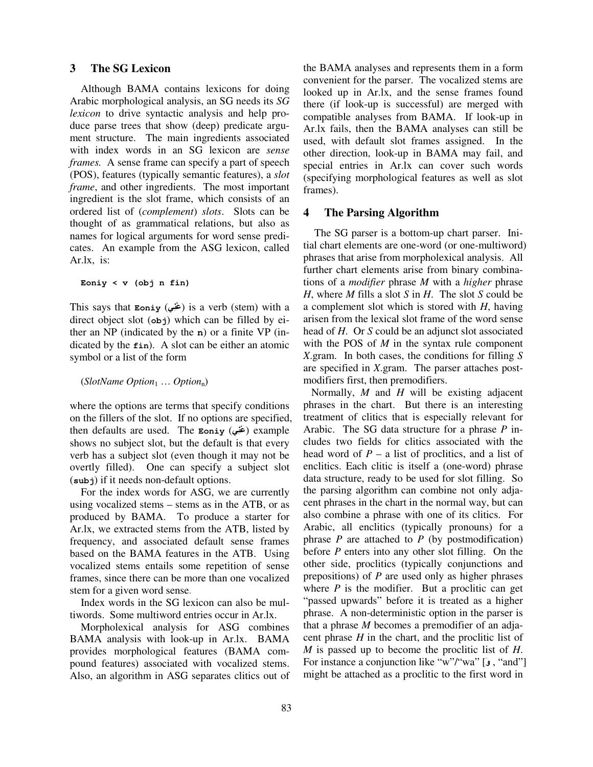#### **3 The SG Lexicon**

Although BAMA contains lexicons for doing Arabic morphological analysis, an SG needs its *SG lexicon* to drive syntactic analysis and help produce parse trees that show (deep) predicate argument structure. The main ingredients associated with index words in an SG lexicon are *sense frames.* A sense frame can specify a part of speech (POS), features (typically semantic features), a *slot frame*, and other ingredients. The most important ingredient is the slot frame, which consists of an ordered list of (*complement*) *slots*. Slots can be thought of as grammatical relations, but also as names for logical arguments for word sense predicates. An example from the ASG lexicon, called Ar.lx, is:

**Eoniy < v (obj n fin)**

This says that **Eoniy** (**-**) is a verb (stem) with a direct object slot (**obj**) which can be filled by either an NP (indicated by the **n**) or a finite VP (indicated by the **fin**). A slot can be either an atomic symbol or a list of the form

#### (*SlotName Option*<sup>1</sup> … *Option*n)

where the options are terms that specify conditions on the fillers of the slot. If no options are specified, then defaults are used. The **Eoniy** (**-**) example shows no subject slot, but the default is that every verb has a subject slot (even though it may not be overtly filled). One can specify a subject slot (**subj**) if it needs non-default options.

For the index words for ASG, we are currently using vocalized stems – stems as in the ATB, or as produced by BAMA. To produce a starter for Ar.lx, we extracted stems from the ATB, listed by frequency, and associated default sense frames based on the BAMA features in the ATB. Using vocalized stems entails some repetition of sense frames, since there can be more than one vocalized stem for a given word sense.

Index words in the SG lexicon can also be multiwords. Some multiword entries occur in Ar.lx.

Morpholexical analysis for ASG combines BAMA analysis with look-up in Ar.lx. BAMA provides morphological features (BAMA compound features) associated with vocalized stems. Also, an algorithm in ASG separates clitics out of the BAMA analyses and represents them in a form convenient for the parser. The vocalized stems are looked up in Ar.lx, and the sense frames found there (if look-up is successful) are merged with compatible analyses from BAMA. If look-up in Ar.lx fails, then the BAMA analyses can still be used, with default slot frames assigned. In the other direction, look-up in BAMA may fail, and special entries in Ar.lx can cover such words (specifying morphological features as well as slot frames).

# **4 The Parsing Algorithm**

The SG parser is a bottom-up chart parser. Initial chart elements are one-word (or one-multiword) phrases that arise from morpholexical analysis. All further chart elements arise from binary combinations of a *modifier* phrase *M* with a *higher* phrase *H*, where *M* fills a slot *S* in *H*. The slot *S* could be a complement slot which is stored with *H*, having arisen from the lexical slot frame of the word sense head of *H*. Or *S* could be an adjunct slot associated with the POS of *M* in the syntax rule component *X*.gram. In both cases, the conditions for filling *S* are specified in *X*.gram. The parser attaches postmodifiers first, then premodifiers.

Normally, *M* and *H* will be existing adjacent phrases in the chart. But there is an interesting treatment of clitics that is especially relevant for Arabic. The SG data structure for a phrase *P* includes two fields for clitics associated with the head word of  $P - a$  list of proclitics, and a list of enclitics. Each clitic is itself a (one-word) phrase data structure, ready to be used for slot filling. So the parsing algorithm can combine not only adjacent phrases in the chart in the normal way, but can also combine a phrase with one of its clitics. For Arabic, all enclitics (typically pronouns) for a phrase  $P$  are attached to  $P$  (by postmodification) before *P* enters into any other slot filling. On the other side, proclitics (typically conjunctions and prepositions) of *P* are used only as higher phrases where  $P$  is the modifier. But a proclitic can get "passed upwards" before it is treated as a higher phrase. A non-deterministic option in the parser is that a phrase *M* becomes a premodifier of an adjacent phrase *H* in the chart, and the proclitic list of *M* is passed up to become the proclitic list of *H*. For instance a conjunction like "w"/"wa" [ $\epsilon$ ], "and"] might be attached as a proclitic to the first word in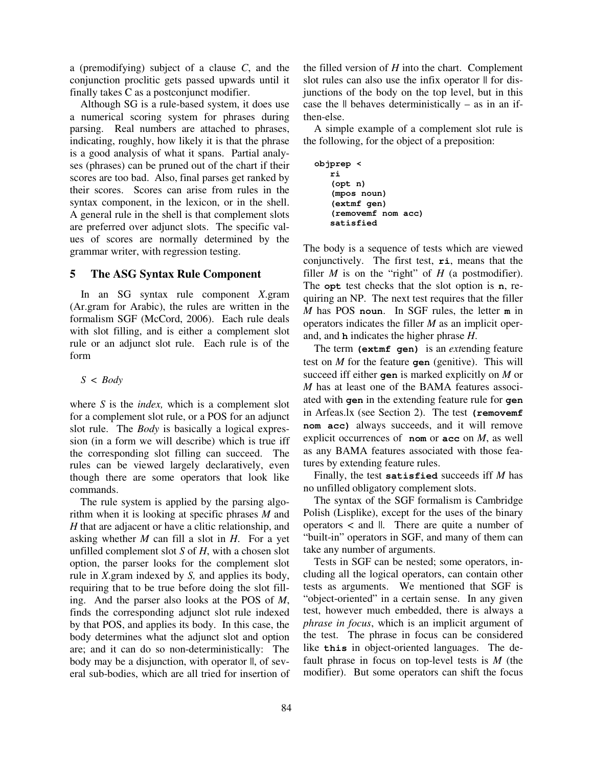a (premodifying) subject of a clause *C*, and the conjunction proclitic gets passed upwards until it finally takes C as a postconjunct modifier.

Although SG is a rule-based system, it does use a numerical scoring system for phrases during parsing. Real numbers are attached to phrases, indicating, roughly, how likely it is that the phrase is a good analysis of what it spans. Partial analyses (phrases) can be pruned out of the chart if their scores are too bad. Also, final parses get ranked by their scores. Scores can arise from rules in the syntax component, in the lexicon, or in the shell. A general rule in the shell is that complement slots are preferred over adjunct slots. The specific values of scores are normally determined by the grammar writer, with regression testing.

# **5 The ASG Syntax Rule Component**

In an SG syntax rule component *X*.gram (Ar.gram for Arabic), the rules are written in the formalism SGF (McCord, 2006). Each rule deals with slot filling, and is either a complement slot rule or an adjunct slot rule. Each rule is of the form

#### *S* < *Body*

where *S* is the *index,* which is a complement slot for a complement slot rule, or a POS for an adjunct slot rule. The *Body* is basically a logical expression (in a form we will describe) which is true iff the corresponding slot filling can succeed. The rules can be viewed largely declaratively, even though there are some operators that look like commands.

The rule system is applied by the parsing algorithm when it is looking at specific phrases *M* and *H* that are adjacent or have a clitic relationship, and asking whether *M* can fill a slot in *H*. For a yet unfilled complement slot *S* of *H*, with a chosen slot option, the parser looks for the complement slot rule in *X*.gram indexed by *S,* and applies its body, requiring that to be true before doing the slot filling. And the parser also looks at the POS of *M*, finds the corresponding adjunct slot rule indexed by that POS, and applies its body. In this case, the body determines what the adjunct slot and option are; and it can do so non-deterministically: The body may be a disjunction, with operator  $\parallel$ , of several sub-bodies, which are all tried for insertion of the filled version of *H* into the chart. Complement slot rules can also use the infix operator  $\parallel$  for disjunctions of the body on the top level, but in this case the  $\parallel$  behaves deterministically – as in an ifthen-else.

A simple example of a complement slot rule is the following, for the object of a preposition:

```
objprep <
   ri
   (opt n)
   (mpos noun)
   (extmf gen)
   (removemf nom acc)
   satisfied
```
The body is a sequence of tests which are viewed conjunctively. The first test, **ri**, means that the filler  $M$  is on the "right" of  $H$  (a postmodifier). The **opt** test checks that the slot option is **n**, requiring an NP. The next test requires that the filler *M* has POS **noun**. In SGF rules, the letter **m** in operators indicates the filler *M* as an implicit operand, and **h** indicates the higher phrase *H*.

The term **(extmf gen)** is an *ext*ending feature test on *M* for the feature **gen** (genitive). This will succeed iff either **gen** is marked explicitly on *M* or *M* has at least one of the BAMA features associated with **gen** in the extending feature rule for **gen** in Arfeas.lx (see Section 2). The test **(removemf nom acc)** always succeeds, and it will remove explicit occurrences of **nom** or **acc** on *M*, as well as any BAMA features associated with those features by extending feature rules.

Finally, the test **satisfied** succeeds iff *M* has no unfilled obligatory complement slots.

The syntax of the SGF formalism is Cambridge Polish (Lisplike), except for the uses of the binary operators < and ||. There are quite a number of "built-in" operators in SGF, and many of them can take any number of arguments.

Tests in SGF can be nested; some operators, including all the logical operators, can contain other tests as arguments. We mentioned that SGF is " object-oriented" in a certain sense. In any given test, however much embedded, there is always a *phrase in focus*, which is an implicit argument of the test. The phrase in focus can be considered like **this** in object-oriented languages. The default phrase in focus on top-level tests is *M* (the modifier). But some operators can shift the focus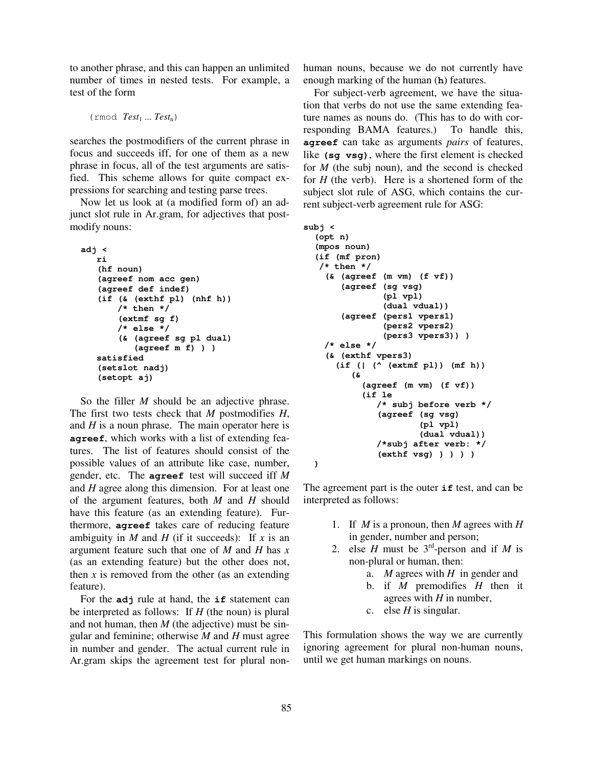to another phrase, and this can happen an unlimited number of times in nested tests. For example, a test of the form

```
(rmod Test1 ... Testn)
```
searches the postmodifiers of the current phrase in focus and succeeds iff, for one of them as a new phrase in focus, all of the test arguments are satisfied. This scheme allows for quite compact expressions for searching and testing parse trees.

Now let us look at (a modified form of) an adjunct slot rule in Ar.gram, for adjectives that postmodify nouns:

```
adj <
   ri
   (hf noun)
   (agreef nom acc gen)
   (agreef def indef)
   (if (& (exthf pl) (nhf h))
       /* then */
       (extmf sg f)
       /* else */
       (& (agreef sg pl dual)
           (agreef m f) ) )
   satisfied
   (setslot nadj)
   (setopt aj)
```
So the filler *M* should be an adjective phrase. The first two tests check that *M* postmodifies *H*, and *H* is a noun phrase. The main operator here is **agreef**, which works with a list of extending features. The list of features should consist of the possible values of an attribute like case, number, gender, etc. The **agreef** test will succeed iff *M* and *H* agree along this dimension. For at least one of the argument features, both *M* and *H* should have this feature (as an extending feature). Furthermore, **agreef** takes care of reducing feature ambiguity in *M* and *H* (if it succeeds): If *x* is an argument feature such that one of *M* and *H* has *x* (as an extending feature) but the other does not, then  $x$  is removed from the other (as an extending feature).

For the **adj** rule at hand, the **if** statement can be interpreted as follows: If *H* (the noun) is plural and not human, then *M* (the adjective) must be singular and feminine; otherwise *M* and *H* must agree in number and gender. The actual current rule in Ar.gram skips the agreement test for plural nonhuman nouns, because we do not currently have enough marking of the human (**h**) features.

For subject-verb agreement, we have the situation that verbs do not use the same extending feature names as nouns do. (This has to do with corresponding BAMA features.) To handle this, **agreef** can take as arguments *pairs* of features, like **(sg vsg)**, where the first element is checked for *M* (the subj noun), and the second is checked for *H* (the verb). Here is a shortened form of the subject slot rule of ASG, which contains the current subject-verb agreement rule for ASG:

```
subj <
  (opt n)
  (mpos noun)
  (if (mf pron)
   /* then */
    (& (agreef (m vm) (f vf))
       (agreef (sg vsg)
                (pl vpl)
                (dual vdual))
       (agreef (pers1 vpers1)
                (pers2 vpers2)
                (pers3 vpers3)) )
    /* else */
    (& (exthf vpers3)
      (if (| (^ (extmf pl)) (mf h))
         (&
            (agreef (m vm) (f vf))
            (if le
               /* subj before verb */
               (agreef (sg vsg)
                        (pl vpl)
                       (dual vdual))
               /*subj after verb: */
               (exthf vsg) ) ) ) )
  )
```
The agreement part is the outer **if** test, and can be interpreted as follows:

- 1. If *M* is a pronoun, then *M* agrees with *H* in gender, number and person;
- 2. else *H* must be  $3^{rd}$ -person and if *M* is non-plural or human, then:
	- a. *M* agrees with *H* in gender and
	- b. if *M* premodifies *H* then it agrees with *H* in number,
	- c. else  $H$  is singular.

This formulation shows the way we are currently ignoring agreement for plural non-human nouns, until we get human markings on nouns.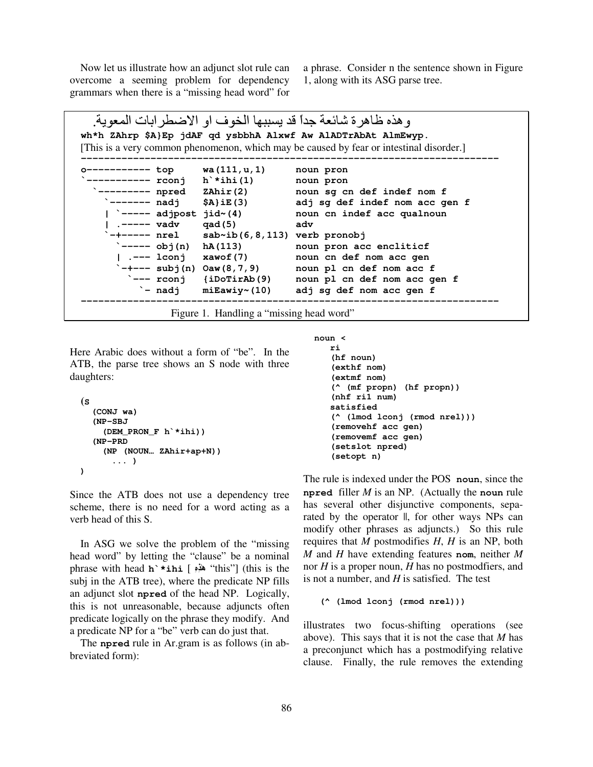Now let us illustrate how an adjunct slot rule can overcome a seeming problem for dependency grammars when there is a " missing head word" for a phrase. Consider n the sentence shown in Figure 1, along with its ASG parse tree.

```
و هذه ظاهرة شائعة جداً قد يسببها الخوف او الاضطرابات المعوية.
wh*h ZAhrp $A}Ep jdAF qd ysbbhA Alxwf Aw AlADTrAbAt AlmEwyp.
[This is a very common phenomenon, which may be caused by fear or intestinal disorder.]
------------------------------------------------------------------------
      o----------- top wa(111,u,1) noun pron
  `----------- rconj h`*ihi(1) noun pron
           `--------- npred ZAhir(2) noun sg cn def indef nom f
         `------- nadj $A}iE(3) adj sg def indef nom acc gen f
         | `----- adjpost jid~(4) noun cn indef acc qualnoun
         | .----- vadv qad(5) adv
          `-+----- nrel sab~ib(6,8,113) verb pronobj
         `----- obj(n) hA(113) noun pron acc encliticf
         | .--- lconj xawof(7) noun cn def nom acc gen
          -- subj(n) Oaw(8,7,9) noun pl cn def nom acc f
         `--- rconj {iDoTirAb(9) noun pl cn def nom acc gen f
         `- nadj miEawiy~(10) adj sg def nom acc gen f
------------------------------------------------------------------------
```
Figure 1. Handling a "missing head word"

Here Arabic does without a form of "be". In the ATB, the parse tree shows an S node with three daughters:

```
(S
  (CONJ wa)
  (NP-SBJ
    (DEM_PRON_F h`*ihi))
  (NP-PRD
    (NP (NOUN… ZAhir+ap+N))
      ... )
)
```
Since the ATB does not use a dependency tree scheme, there is no need for a word acting as a verb head of this S.

In ASG we solve the problem of the "missing" head word" by letting the "clause" be a nominal phrase with head **h`\*ihi** [ **- -** " this"] (this is the subj in the ATB tree), where the predicate NP fills an adjunct slot **npred** of the head NP. Logically, this is not unreasonable, because adjuncts often predicate logically on the phrase they modify. And a predicate NP for a "be" verb can do just that.

The **npred** rule in Ar.gram is as follows (in abbreviated form):

```
noun <
   ri
   (hf noun)
   (exthf nom)
   (extmf nom)
   (^ (mf propn) (hf propn))
   (nhf ri1 num)
   satisfied
   (^ (lmod lconj (rmod nrel)))
   (removehf acc gen)
   (removemf acc gen)
   (setslot npred)
   (setopt n)
```
The rule is indexed under the POS **noun**, since the **npred** filler *M* is an NP. (Actually the **noun** rule has several other disjunctive components, separated by the operator  $\parallel$ , for other ways NPs can modify other phrases as adjuncts.) So this rule requires that *M* postmodifies *H*, *H* is an NP, both *M* and *H* have extending features **nom**, neither *M* nor *H* is a proper noun, *H* has no postmodfiers, and is not a number, and *H* is satisfied. The test

**(^ (lmod lconj (rmod nrel)))**

illustrates two focus-shifting operations (see above). This says that it is not the case that *M* has a preconjunct which has a postmodifying relative clause. Finally, the rule removes the extending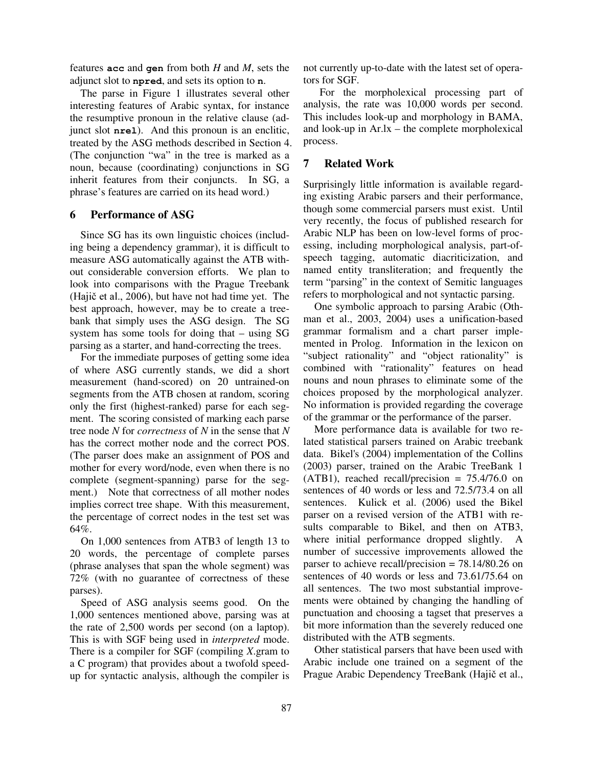features **acc** and **gen** from both *H* and *M*, sets the adjunct slot to **npred**, and sets its option to **n**.

The parse in Figure 1 illustrates several other interesting features of Arabic syntax, for instance the resumptive pronoun in the relative clause (adjunct slot **nrel**). And this pronoun is an enclitic, treated by the ASG methods described in Section 4. (The conjunction "wa" in the tree is marked as a noun, because (coordinating) conjunctions in SG inherit features from their conjuncts. In SG, a phrase's features are carried on its head word.)

# **6 Performance of ASG**

Since SG has its own linguistic choices (including being a dependency grammar), it is difficult to measure ASG automatically against the ATB without considerable conversion efforts. We plan to look into comparisons with the Prague Treebank (Hajič et al.,  $2006$ ), but have not had time yet. The best approach, however, may be to create a treebank that simply uses the ASG design. The SG system has some tools for doing that – using SG parsing as a starter, and hand-correcting the trees.

For the immediate purposes of getting some idea of where ASG currently stands, we did a short measurement (hand-scored) on 20 untrained-on segments from the ATB chosen at random, scoring only the first (highest-ranked) parse for each segment. The scoring consisted of marking each parse tree node *N* for *correctness* of *N* in the sense that *N* has the correct mother node and the correct POS. (The parser does make an assignment of POS and mother for every word/node, even when there is no complete (segment-spanning) parse for the segment.) Note that correctness of all mother nodes implies correct tree shape. With this measurement, the percentage of correct nodes in the test set was 64%.

On 1,000 sentences from ATB3 of length 13 to 20 words, the percentage of complete parses (phrase analyses that span the whole segment) was 72% (with no guarantee of correctness of these parses).

Speed of ASG analysis seems good. On the 1,000 sentences mentioned above, parsing was at the rate of 2,500 words per second (on a laptop). This is with SGF being used in *interpreted* mode. There is a compiler for SGF (compiling *X*.gram to a C program) that provides about a twofold speedup for syntactic analysis, although the compiler is not currently up-to-date with the latest set of operators for SGF.

For the morpholexical processing part of analysis, the rate was 10,000 words per second. This includes look-up and morphology in BAMA, and look-up in Ar.lx – the complete morpholexical process.

# **7 Related Work**

Surprisingly little information is available regarding existing Arabic parsers and their performance, though some commercial parsers must exist. Until very recently, the focus of published research for Arabic NLP has been on low-level forms of processing, including morphological analysis, part-ofspeech tagging, automatic diacriticization, and named entity transliteration; and frequently the term "parsing" in the context of Semitic languages refers to morphological and not syntactic parsing.

One symbolic approach to parsing Arabic (Othman et al., 2003, 2004) uses a unification-based grammar formalism and a chart parser implemented in Prolog. Information in the lexicon on "subject rationality" and "object rationality" is combined with "rationality" features on head nouns and noun phrases to eliminate some of the choices proposed by the morphological analyzer. No information is provided regarding the coverage of the grammar or the performance of the parser.

More performance data is available for two related statistical parsers trained on Arabic treebank data. Bikel's (2004) implementation of the Collins (2003) parser, trained on the Arabic TreeBank 1  $(ATB1)$ , reached recall/precision = 75.4/76.0 on sentences of 40 words or less and 72.5/73.4 on all sentences. Kulick et al. (2006) used the Bikel parser on a revised version of the ATB1 with results comparable to Bikel, and then on ATB3, where initial performance dropped slightly. A number of successive improvements allowed the parser to achieve recall/precision = 78.14/80.26 on sentences of 40 words or less and 73.61/75.64 on all sentences. The two most substantial improvements were obtained by changing the handling of punctuation and choosing a tagset that preserves a bit more information than the severely reduced one distributed with the ATB segments.

Other statistical parsers that have been used with Arabic include one trained on a segment of the Prague Arabic Dependency TreeBank (Hajič et al.,